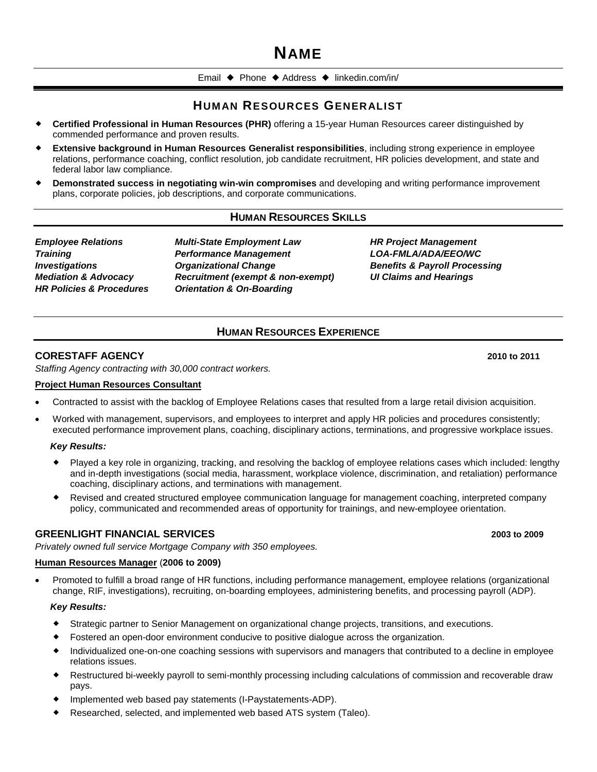# **NAME**

Email  $\blacklozenge$  Phone  $\blacklozenge$  Address  $\blacklozenge$  [linkedin.com/in/](mailto:someone@example.com)

# **HUMAN RESOURCES GENERALIST**

- **Certified Professional in Human Resources (PHR)** offering a 15-year Human Resources career distinguished by commended performance and proven results.
- **Extensive background in Human Resources Generalist responsibilities**, including strong experience in employee relations, performance coaching, conflict resolution, job candidate recruitment, HR policies development, and state and federal labor law compliance.
- **Demonstrated success in negotiating win-win compromises** and developing and writing performance improvement plans, corporate policies, job descriptions, and corporate communications.

# **HUMAN RESOURCES SKILLS**

*Employee Relations Training Investigations Mediation & Advocacy HR Policies & Procedures* *Multi-State Employment Law Performance Management Organizational Change Recruitment (exempt & non-exempt) Orientation & On-Boarding*

*HR Project Management LOA-FMLA/ADA/EEO/WC Benefits & Payroll Processing UI Claims and Hearings*

# **HUMAN RESOURCES EXPERIENCE**

### **CORESTAFF AGENCY 2010 to 2011**

*Staffing Agency contracting with 30,000 contract workers.*

### **Project Human Resources Consultant**

- Contracted to assist with the backlog of Employee Relations cases that resulted from a large retail division acquisition.
- Worked with management, supervisors, and employees to interpret and apply HR policies and procedures consistently; executed performance improvement plans, coaching, disciplinary actions, terminations, and progressive workplace issues.

### *Key Results:*

- Played a key role in organizing, tracking, and resolving the backlog of employee relations cases which included: lengthy and in-depth investigations (social media, harassment, workplace violence, discrimination, and retaliation) performance coaching, disciplinary actions, and terminations with management.
- Revised and created structured employee communication language for management coaching, interpreted company policy, communicated and recommended areas of opportunity for trainings, and new-employee orientation.

### **GREENLIGHT FINANCIAL SERVICES 2003 to 2009**

*Privately owned full service Mortgage Company with 350 employees.*

### **Human Resources Manager** (**2006 to 2009)**

 Promoted to fulfill a broad range of HR functions, including performance management, employee relations (organizational change, RIF, investigations), recruiting, on-boarding employees, administering benefits, and processing payroll (ADP).

### *Key Results:*

- Strategic partner to Senior Management on organizational change projects, transitions, and executions.
- Fostered an open-door environment conducive to positive dialogue across the organization.
- Individualized one-on-one coaching sessions with supervisors and managers that contributed to a decline in employee relations issues.
- Restructured bi-weekly payroll to semi-monthly processing including calculations of commission and recoverable draw pays.
- Implemented web based pay statements (I-Paystatements-ADP).
- Researched, selected, and implemented web based ATS system (Taleo).